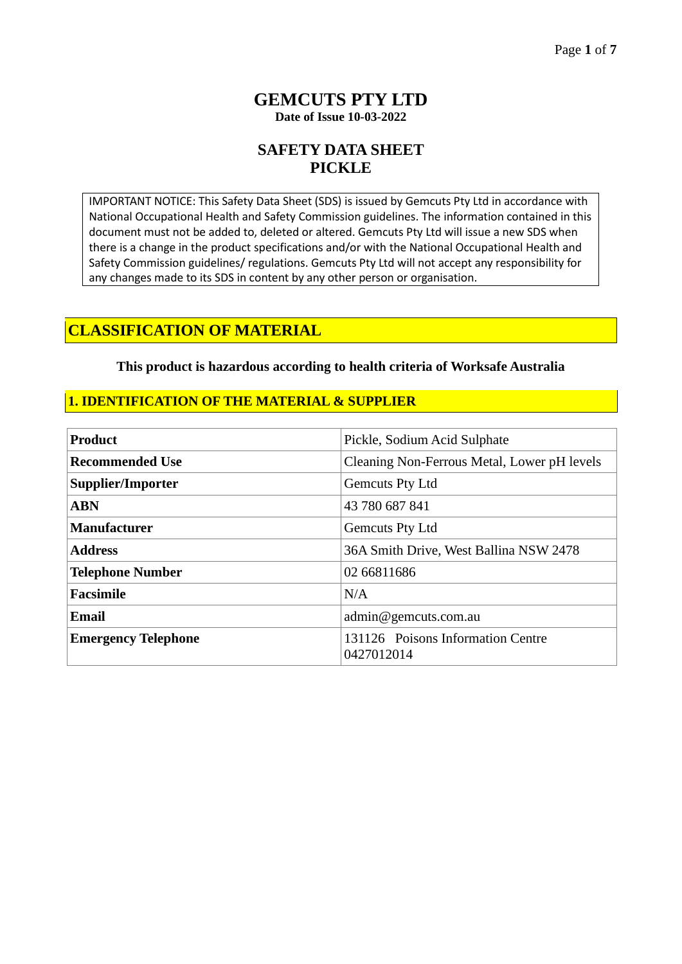### **GEMCUTS PTY LTD Date of Issue 10-03-2022**

# **SAFETY DATA SHEET PICKLE**

IMPORTANT NOTICE: This Safety Data Sheet (SDS) is issued by Gemcuts Pty Ltd in accordance with National Occupational Health and Safety Commission guidelines. The information contained in this document must not be added to, deleted or altered. Gemcuts Pty Ltd will issue a new SDS when there is a change in the product specifications and/or with the National Occupational Health and Safety Commission guidelines/ regulations. Gemcuts Pty Ltd will not accept any responsibility for any changes made to its SDS in content by any other person or organisation.

## **CLASSIFICATION OF MATERIAL**

#### **This product is hazardous according to health criteria of Worksafe Australia**

### **1. IDENTIFICATION OF THE MATERIAL & SUPPLIER**

| <b>Product</b>             | Pickle, Sodium Acid Sulphate                    |  |
|----------------------------|-------------------------------------------------|--|
| <b>Recommended Use</b>     | Cleaning Non-Ferrous Metal, Lower pH levels     |  |
| <b>Supplier/Importer</b>   | Gemcuts Pty Ltd                                 |  |
| <b>ABN</b>                 | 43 780 687 841                                  |  |
| <b>Manufacturer</b>        | Gemcuts Pty Ltd                                 |  |
| <b>Address</b>             | 36A Smith Drive, West Ballina NSW 2478          |  |
| <b>Telephone Number</b>    | 02 66811686                                     |  |
| <b>Facsimile</b>           | N/A                                             |  |
| <b>Email</b>               | admin@gemcuts.com.au                            |  |
| <b>Emergency Telephone</b> | 131126 Poisons Information Centre<br>0427012014 |  |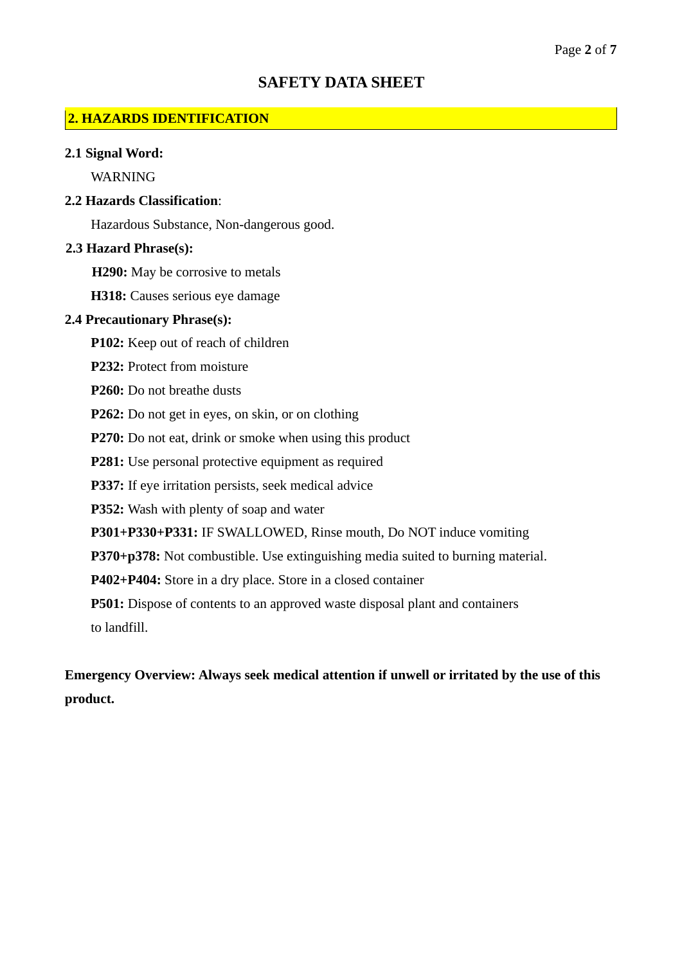### **SAFETY DATA SHEET**

#### **2. HAZARDS IDENTIFICATION**

#### **2.1 Signal Word:**

WARNING

#### **2.2 Hazards Classification**:

Hazardous Substance, Non-dangerous good.

#### **2.3 Hazard Phrase(s):**

**H290:** May be corrosive to metals

**H318:** Causes serious eye damage

#### **2.4 Precautionary Phrase(s):**

**P102:** Keep out of reach of children

**P232:** Protect from moisture

**P260:** Do not breathe dusts

**P262:** Do not get in eyes, on skin, or on clothing

P270: Do not eat, drink or smoke when using this product

**P281:** Use personal protective equipment as required

**P337:** If eye irritation persists, seek medical advice

**P352:** Wash with plenty of soap and water

**P301+P330+P331:** IF SWALLOWED, Rinse mouth, Do NOT induce vomiting

**P370+p378:** Not combustible. Use extinguishing media suited to burning material.

**P402+P404:** Store in a dry place. Store in a closed container

**P501:** Dispose of contents to an approved waste disposal plant and containers to landfill.

**Emergency Overview: Always seek medical attention if unwell or irritated by the use of this product.**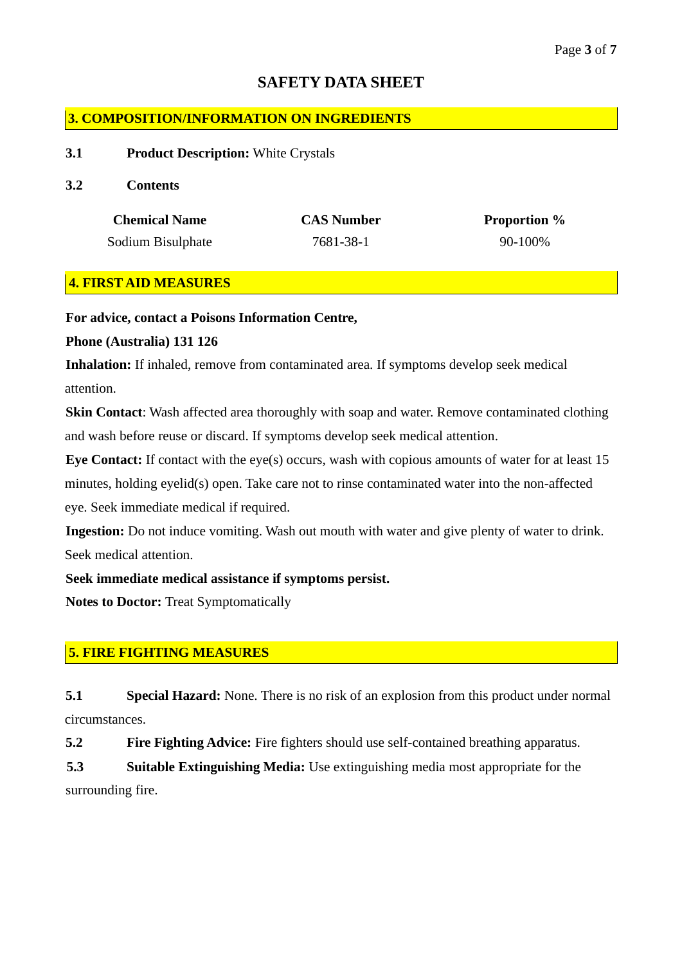# **SAFETY DATA SHEET**

## **3. COMPOSITION/INFORMATION ON INGREDIENTS**

#### **3.1 Product Description:** White Crystals

#### **3.2 Contents**

| <b>Chemical Name</b> | <b>CAS Number</b> | <b>Proportion</b> % |
|----------------------|-------------------|---------------------|
| Sodium Bisulphate    | 7681-38-1         | 90-100%             |

## **4. FIRST AID MEASURES**

**For advice, contact a Poisons Information Centre,**

### **Phone (Australia) 131 126**

**Inhalation:** If inhaled, remove from contaminated area. If symptoms develop seek medical attention.

**Skin Contact:** Wash affected area thoroughly with soap and water. Remove contaminated clothing and wash before reuse or discard. If symptoms develop seek medical attention.

**Eye Contact:** If contact with the eye(s) occurs, wash with copious amounts of water for at least 15 minutes, holding eyelid(s) open. Take care not to rinse contaminated water into the non-affected eye. Seek immediate medical if required.

**Ingestion:** Do not induce vomiting. Wash out mouth with water and give plenty of water to drink. Seek medical attention.

### **Seek immediate medical assistance if symptoms persist.**

**Notes to Doctor:** Treat Symptomatically

### **5. FIRE FIGHTING MEASURES**

**5.1 Special Hazard:** None. There is no risk of an explosion from this product under normal circumstances.

**5.2 Fire Fighting Advice:** Fire fighters should use self-contained breathing apparatus.

**5.3 Suitable Extinguishing Media:** Use extinguishing media most appropriate for the surrounding fire.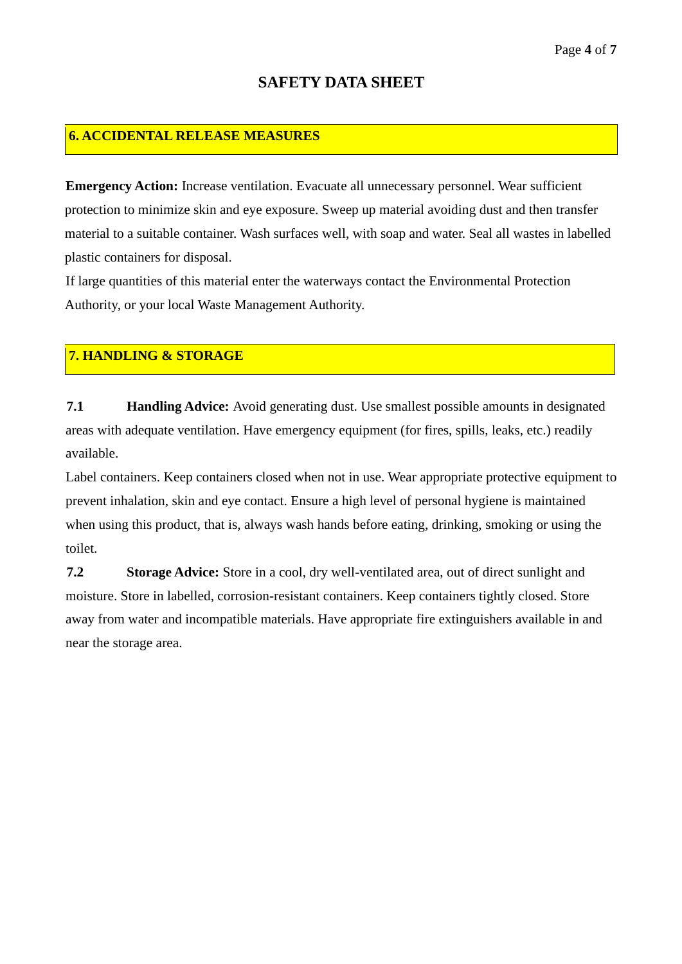## **6. ACCIDENTAL RELEASE MEASURES**

**Emergency Action:** Increase ventilation. Evacuate all unnecessary personnel. Wear sufficient protection to minimize skin and eye exposure. Sweep up material avoiding dust and then transfer material to a suitable container. Wash surfaces well, with soap and water. Seal all wastes in labelled plastic containers for disposal.

If large quantities of this material enter the waterways contact the Environmental Protection Authority, or your local Waste Management Authority.

## **7. HANDLING & STORAGE**

**7.1 Handling Advice:** Avoid generating dust. Use smallest possible amounts in designated areas with adequate ventilation. Have emergency equipment (for fires, spills, leaks, etc.) readily available.

Label containers. Keep containers closed when not in use. Wear appropriate protective equipment to prevent inhalation, skin and eye contact. Ensure a high level of personal hygiene is maintained when using this product, that is, always wash hands before eating, drinking, smoking or using the toilet.

**7.2 Storage Advice:** Store in a cool, dry well-ventilated area, out of direct sunlight and moisture. Store in labelled, corrosion-resistant containers. Keep containers tightly closed. Store away from water and incompatible materials. Have appropriate fire extinguishers available in and near the storage area.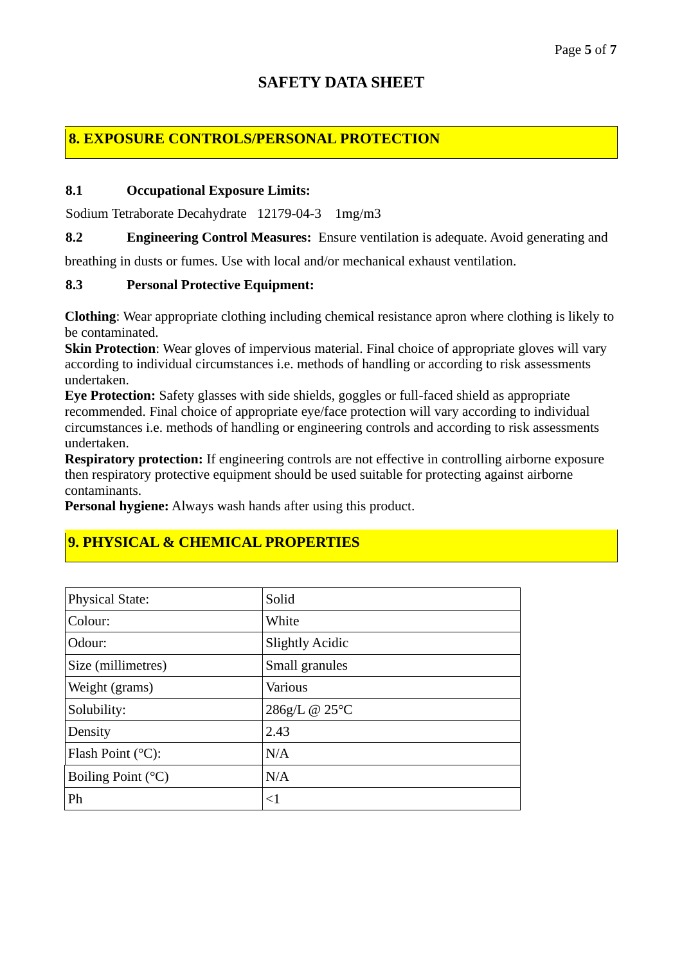# **SAFETY DATA SHEET**

# **8. EXPOSURE CONTROLS/PERSONAL PROTECTION**

#### **8.1 Occupational Exposure Limits:**

Sodium Tetraborate Decahydrate 12179-04-3 1mg/m3

**8.2 Engineering Control Measures:** Ensure ventilation is adequate. Avoid generating and

breathing in dusts or fumes. Use with local and/or mechanical exhaust ventilation.

### **8.3 Personal Protective Equipment:**

**Clothing**: Wear appropriate clothing including chemical resistance apron where clothing is likely to be contaminated.

**Skin Protection**: Wear gloves of impervious material. Final choice of appropriate gloves will vary according to individual circumstances i.e. methods of handling or according to risk assessments undertaken.

**Eye Protection:** Safety glasses with side shields, goggles or full-faced shield as appropriate recommended. Final choice of appropriate eye/face protection will vary according to individual circumstances i.e. methods of handling or engineering controls and according to risk assessments undertaken.

**Respiratory protection:** If engineering controls are not effective in controlling airborne exposure then respiratory protective equipment should be used suitable for protecting against airborne contaminants.

**Personal hygiene:** Always wash hands after using this product.

# **9. PHYSICAL & CHEMICAL PROPERTIES**

| <b>Physical State:</b>      | Solid                  |
|-----------------------------|------------------------|
| Colour:                     | White                  |
| Odour:                      | <b>Slightly Acidic</b> |
| Size (millimetres)          | Small granules         |
| Weight (grams)              | Various                |
| Solubility:                 | 286g/L @ 25°C          |
| Density                     | 2.43                   |
| Flash Point $(^{\circ}C)$ : | N/A                    |
| Boiling Point $(^{\circ}C)$ | N/A                    |
| Ph                          | $\leq$ 1               |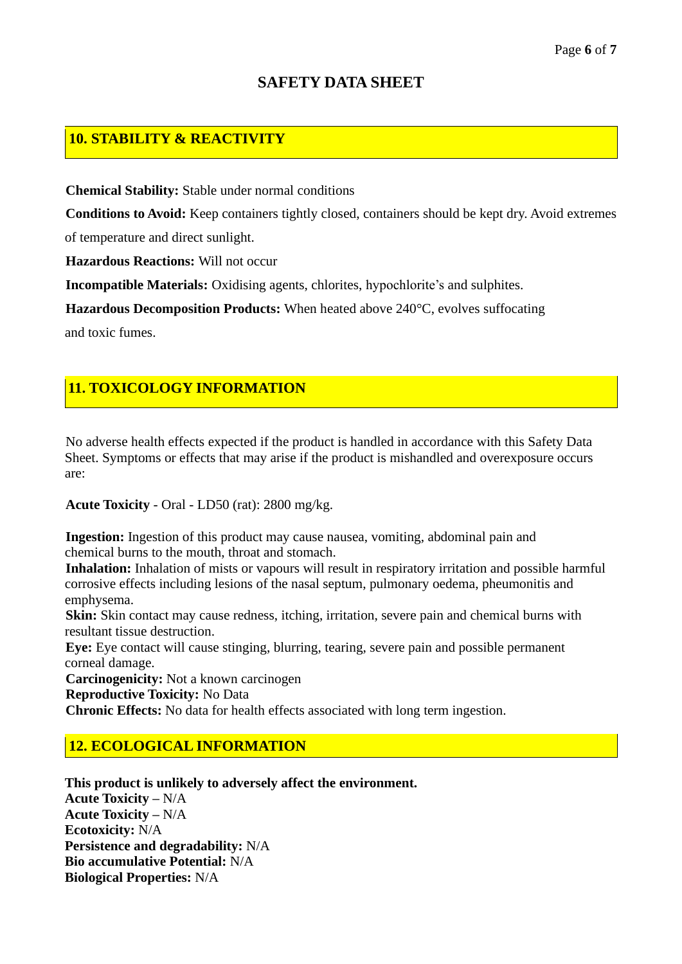#### Page **6** of **7**

# **SAFETY DATA SHEET**

# **10. STABILITY & REACTIVITY**

**Chemical Stability:** Stable under normal conditions

**Conditions to Avoid:** Keep containers tightly closed, containers should be kept dry. Avoid extremes of temperature and direct sunlight.

**Hazardous Reactions:** Will not occur

**Incompatible Materials:** Oxidising agents, chlorites, hypochlorite's and sulphites.

**Hazardous Decomposition Products:** When heated above 240°C, evolves suffocating

and toxic fumes.

## **11. TOXICOLOGY INFORMATION**

No adverse health effects expected if the product is handled in accordance with this Safety Data Sheet. Symptoms or effects that may arise if the product is mishandled and overexposure occurs are:

**Acute Toxicity** - Oral - LD50 (rat): 2800 mg/kg.

**Ingestion:** Ingestion of this product may cause nausea, vomiting, abdominal pain and chemical burns to the mouth, throat and stomach.

**Inhalation:** Inhalation of mists or vapours will result in respiratory irritation and possible harmful corrosive effects including lesions of the nasal septum, pulmonary oedema, pheumonitis and emphysema.

**Skin:** Skin contact may cause redness, itching, irritation, severe pain and chemical burns with resultant tissue destruction.

**Eye:** Eye contact will cause stinging, blurring, tearing, severe pain and possible permanent corneal damage.

**Carcinogenicity:** Not a known carcinogen

**Reproductive Toxicity:** No Data

**Chronic Effects:** No data for health effects associated with long term ingestion.

### **12. ECOLOGICAL INFORMATION**

**This product is unlikely to adversely affect the environment. Acute Toxicity –** N/A **Acute Toxicity –** N/A **Ecotoxicity:** N/A **Persistence and degradability:** N/A **Bio accumulative Potential:** N/A **Biological Properties:** N/A